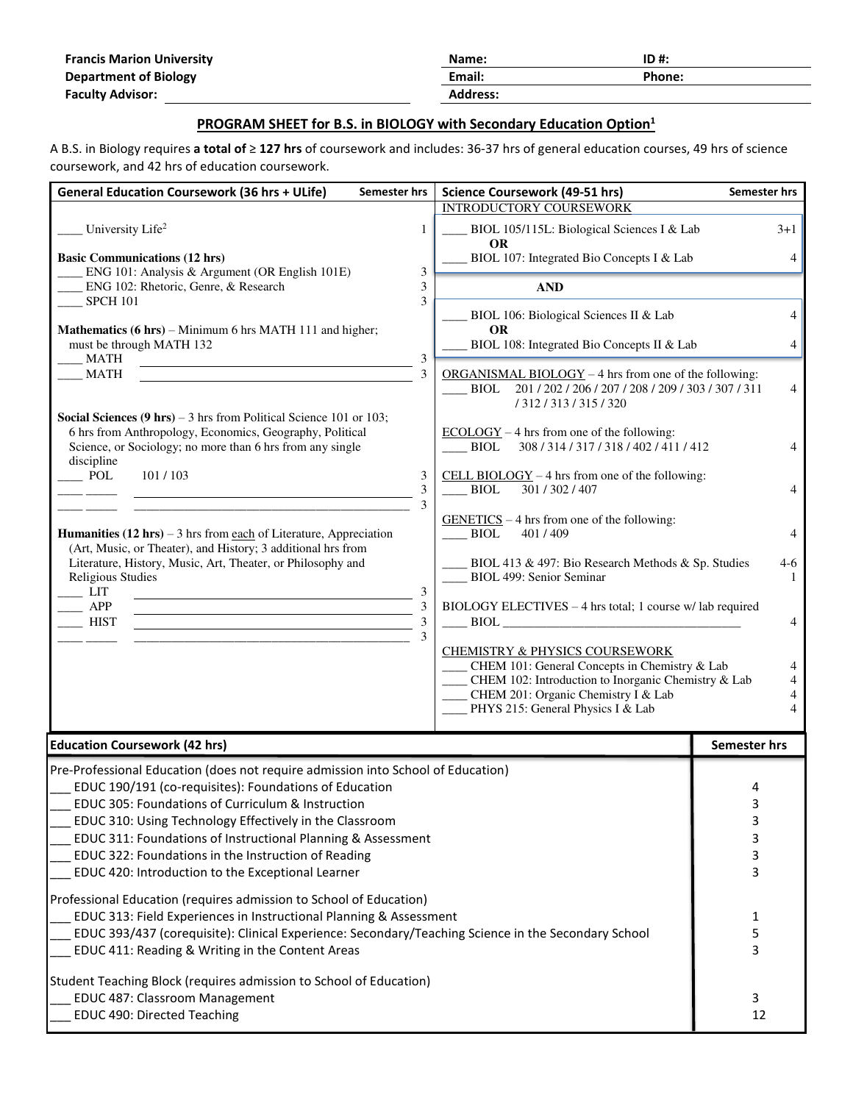| <b>Francis Marion University</b> | Name:           | $ID#$ : |
|----------------------------------|-----------------|---------|
| <b>Department of Biology</b>     | Email:          | Phone:  |
| <b>Faculty Advisor:</b>          | <b>Address:</b> |         |

## **PROGRAM SHEET for B.S. in BIOLOGY with Secondary Education Option<sup>1</sup>**

A B.S. in Biology requires **a total of** ≥ **127 hrs** of coursework and includes: 36-37 hrs of general education courses, 49 hrs of science coursework, and 42 hrs of education coursework.

| <b>General Education Coursework (36 hrs + ULife)</b>                                                                                                    | Semester hrs        | <b>Science Coursework (49-51 hrs)</b>                                                                          | <b>Semester hrs</b> |
|---------------------------------------------------------------------------------------------------------------------------------------------------------|---------------------|----------------------------------------------------------------------------------------------------------------|---------------------|
|                                                                                                                                                         |                     | <b>INTRODUCTORY COURSEWORK</b>                                                                                 |                     |
| University Life <sup>2</sup>                                                                                                                            | 1                   | BIOL 105/115L: Biological Sciences I & Lab<br><b>OR</b>                                                        | $3+1$               |
| <b>Basic Communications (12 hrs)</b>                                                                                                                    |                     | BIOL 107: Integrated Bio Concepts I & Lab                                                                      | $\overline{4}$      |
| ENG 101: Analysis & Argument (OR English 101E)<br>ENG 102: Rhetoric, Genre, & Research                                                                  | 3<br>3              | <b>AND</b>                                                                                                     |                     |
| <b>SPCH 101</b>                                                                                                                                         | 3                   |                                                                                                                |                     |
| Mathematics (6 hrs) – Minimum 6 hrs MATH 111 and higher;                                                                                                |                     | BIOL 106: Biological Sciences II & Lab<br><b>OR</b>                                                            | 4                   |
| must be through MATH 132<br>MATH                                                                                                                        | $\mathfrak{Z}$      | BIOL 108: Integrated Bio Concepts II & Lab                                                                     | $\overline{4}$      |
| <b>MATH</b>                                                                                                                                             | 3                   | $ORGANISMAL BIOLOGY - 4 hrs from one of the following:$                                                        |                     |
|                                                                                                                                                         |                     | 201 / 202 / 206 / 207 / 208 / 209 / 303 / 307 / 311<br>BIOL<br>/ 312 / 313 / 315 / 320                         | 4                   |
| <b>Social Sciences (9 hrs)</b> – 3 hrs from Political Science 101 or 103;                                                                               |                     |                                                                                                                |                     |
| 6 hrs from Anthropology, Economics, Geography, Political<br>Science, or Sociology; no more than 6 hrs from any single                                   |                     | $ECOLOGY - 4$ hrs from one of the following:<br><b>BIOL</b><br>308/314/317/318/402/411/412                     |                     |
| discipline<br>$\overline{\phantom{0}}$ POL<br>101/103                                                                                                   | 3                   | CELL BIOLOGY $-4$ hrs from one of the following:                                                               |                     |
|                                                                                                                                                         | 3<br>3              | <b>BIOL</b><br>301 / 302 / 407                                                                                 | 4                   |
|                                                                                                                                                         |                     | $GENETICS – 4 hrs from one of the following:$                                                                  |                     |
| <b>Humanities (12 hrs)</b> – 3 hrs from each of Literature, Appreciation<br>(Art, Music, or Theater), and History; 3 additional hrs from                |                     | <b>BIOL</b><br>401/409                                                                                         | 4                   |
| Literature, History, Music, Art, Theater, or Philosophy and                                                                                             |                     | BIOL 413 & 497: Bio Research Methods & Sp. Studies                                                             | 4-6                 |
| <b>Religious Studies</b><br>LIT                                                                                                                         | 3                   | <b>BIOL 499: Senior Seminar</b>                                                                                | 1                   |
| APP                                                                                                                                                     | 3                   | BIOLOGY ELECTIVES - 4 hrs total; 1 course w/ lab required                                                      |                     |
| <b>HIST</b><br><u> 1980 - Johann Barn, mars an t-Amerikaansk kommunister (</u>                                                                          | $\mathfrak{Z}$<br>3 | <b>BIOL</b>                                                                                                    | 4                   |
|                                                                                                                                                         |                     | <b>CHEMISTRY &amp; PHYSICS COURSEWORK</b>                                                                      |                     |
|                                                                                                                                                         |                     | CHEM 101: General Concepts in Chemistry & Lab<br>4<br>CHEM 102: Introduction to Inorganic Chemistry & Lab<br>4 |                     |
|                                                                                                                                                         |                     | CHEM 201: Organic Chemistry I & Lab<br>4                                                                       |                     |
|                                                                                                                                                         |                     | PHYS 215: General Physics I & Lab                                                                              | 4                   |
| <b>Education Coursework (42 hrs)</b>                                                                                                                    |                     |                                                                                                                | Semester hrs        |
|                                                                                                                                                         |                     |                                                                                                                |                     |
| Pre-Professional Education (does not require admission into School of Education)<br>EDUC 190/191 (co-requisites): Foundations of Education              |                     |                                                                                                                | 4                   |
| EDUC 305: Foundations of Curriculum & Instruction                                                                                                       |                     | ς                                                                                                              |                     |
| EDUC 310: Using Technology Effectively in the Classroom                                                                                                 |                     | 3                                                                                                              |                     |
| EDUC 311: Foundations of Instructional Planning & Assessment                                                                                            |                     | 3                                                                                                              |                     |
| EDUC 322: Foundations in the Instruction of Reading                                                                                                     |                     | 3                                                                                                              |                     |
| EDUC 420: Introduction to the Exceptional Learner                                                                                                       |                     |                                                                                                                | 3                   |
| Professional Education (requires admission to School of Education)                                                                                      |                     |                                                                                                                |                     |
| EDUC 313: Field Experiences in Instructional Planning & Assessment                                                                                      |                     |                                                                                                                | 1                   |
| EDUC 393/437 (corequisite): Clinical Experience: Secondary/Teaching Science in the Secondary School<br>EDUC 411: Reading & Writing in the Content Areas |                     |                                                                                                                | 5<br>3              |
| Student Teaching Block (requires admission to School of Education)                                                                                      |                     |                                                                                                                |                     |
| EDUC 487: Classroom Management                                                                                                                          |                     |                                                                                                                | 3                   |
| EDUC 490: Directed Teaching                                                                                                                             |                     |                                                                                                                | 12                  |